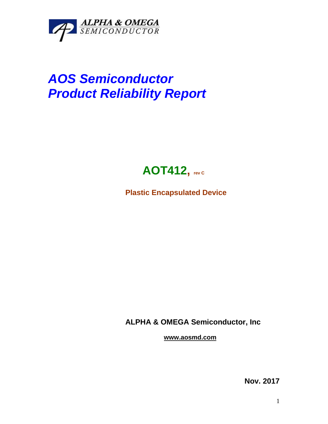

## *AOS Semiconductor Product Reliability Report*



**Plastic Encapsulated Device**

**ALPHA & OMEGA Semiconductor, Inc**

**www.aosmd.com**

**Nov. 2017**